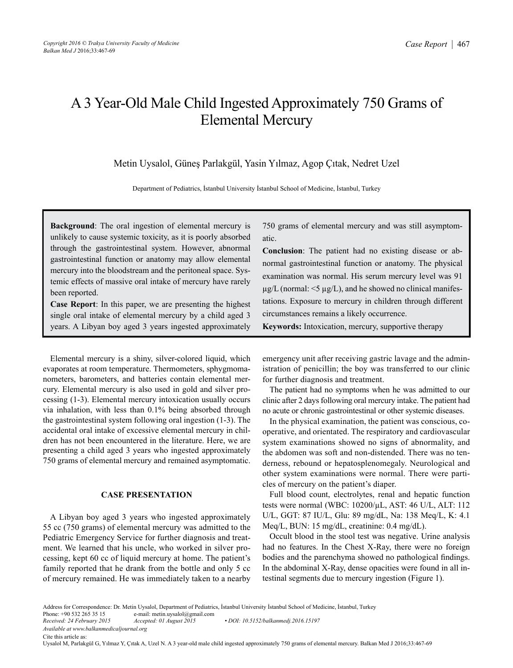# A 3 Year-Old Male Child Ingested Approximately 750 Grams of Elemental Mercury

Metin Uysalol, Güneş Parlakgül, Yasin Yılmaz, Agop Çıtak, Nedret Uzel

Department of Pediatrics, İstanbul University İstanbul School of Medicine, İstanbul, Turkey

**Background**: The oral ingestion of elemental mercury is unlikely to cause systemic toxicity, as it is poorly absorbed through the gastrointestinal system. However, abnormal gastrointestinal function or anatomy may allow elemental mercury into the bloodstream and the peritoneal space. Systemic effects of massive oral intake of mercury have rarely been reported.

**Case Report**: In this paper, we are presenting the highest single oral intake of elemental mercury by a child aged 3 years. A Libyan boy aged 3 years ingested approximately

Elemental mercury is a shiny, silver-colored liquid, which evaporates at room temperature. Thermometers, sphygmomanometers, barometers, and batteries contain elemental mercury. Elemental mercury is also used in gold and silver processing (1-3). Elemental mercury intoxication usually occurs via inhalation, with less than 0.1% being absorbed through the gastrointestinal system following oral ingestion (1-3). The accidental oral intake of excessive elemental mercury in children has not been encountered in the literature. Here, we are presenting a child aged 3 years who ingested approximately 750 grams of elemental mercury and remained asymptomatic.

## **CASE PRESENTATION**

A Libyan boy aged 3 years who ingested approximately 55 cc (750 grams) of elemental mercury was admitted to the Pediatric Emergency Service for further diagnosis and treatment. We learned that his uncle, who worked in silver processing, kept 60 cc of liquid mercury at home. The patient's family reported that he drank from the bottle and only 5 cc of mercury remained. He was immediately taken to a nearby 750 grams of elemental mercury and was still asymptomatic.

**Conclusion**: The patient had no existing disease or abnormal gastrointestinal function or anatomy. The physical examination was normal. His serum mercury level was 91  $\mu$ g/L (normal: <5  $\mu$ g/L), and he showed no clinical manifestations. Exposure to mercury in children through different circumstances remains a likely occurrence.

**Keywords:** Intoxication, mercury, supportive therapy

emergency unit after receiving gastric lavage and the administration of penicillin; the boy was transferred to our clinic for further diagnosis and treatment.

The patient had no symptoms when he was admitted to our clinic after 2 days following oral mercury intake. The patient had no acute or chronic gastrointestinal or other systemic diseases.

In the physical examination, the patient was conscious, cooperative, and orientated. The respiratory and cardiovascular system examinations showed no signs of abnormality, and the abdomen was soft and non-distended. There was no tenderness, rebound or hepatosplenomegaly. Neurological and other system examinations were normal. There were particles of mercury on the patient's diaper.

Full blood count, electrolytes, renal and hepatic function tests were normal (WBC: 10200/µL, AST: 46 U/L, ALT: 112 U/L, GGT: 87 IU/L, Glu: 89 mg/dL, Na: 138 Meq/L, K: 4.1 Meq/L, BUN: 15 mg/dL, creatinine: 0.4 mg/dL).

Occult blood in the stool test was negative. Urine analysis had no features. In the Chest X-Ray, there were no foreign bodies and the parenchyma showed no pathological findings. In the abdominal X-Ray, dense opacities were found in all intestinal segments due to mercury ingestion (Figure 1).

Address for Correspondence: Dr. Metin Uysalol, Department of Pediatrics, İstanbul University İstanbul School of Medicine, İstanbul, Turkey<br>Phone: +90 532 265 35 15 e-mail: metin.uysalol@gmail.com Phone: +90 532 265 35 15 e-mail: metin.uysalol@gmail.com<br>Received: 24 February 2015 Accepted: 01 August 2015 *Received: 24 February 2015 Accepted: 01 August 2015 • DOI: 10.5152/balkanmedj.2016.15197*

*Available at www.balkanmedicaljournal.org*

Cite this article as:

Uysalol M, Parlakgül G, Yılmaz Y, Çıtak A, Uzel N. A 3 year-old male child ingested approximately 750 grams of elemental mercury. Balkan Med J 2016;33:467-69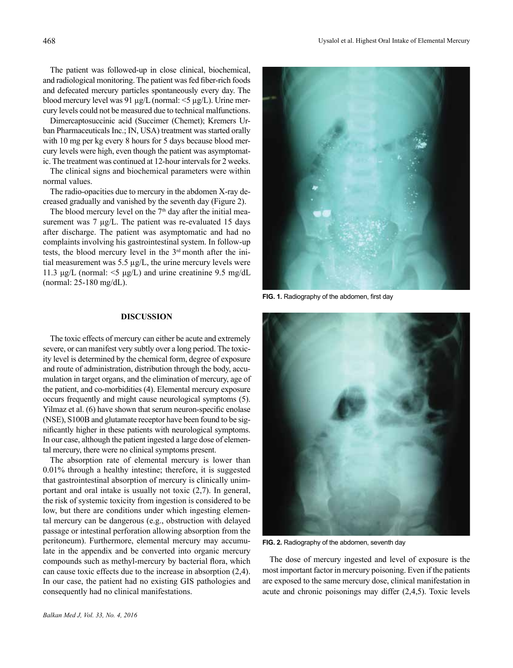The patient was followed-up in close clinical, biochemical, and radiological monitoring. The patient was fed fiber-rich foods and defecated mercury particles spontaneously every day. The blood mercury level was 91  $\mu$ g/L (normal: <5  $\mu$ g/L). Urine mercury levels could not be measured due to technical malfunctions.

Dimercaptosuccinic acid (Succimer (Chemet); Kremers Urban Pharmaceuticals Inc.; IN, USA) treatment was started orally with 10 mg per kg every 8 hours for 5 days because blood mercury levels were high, even though the patient was asymptomatic. The treatment was continued at 12-hour intervals for 2 weeks.

The clinical signs and biochemical parameters were within normal values.

The radio-opacities due to mercury in the abdomen X-ray decreased gradually and vanished by the seventh day (Figure 2).

The blood mercury level on the  $7<sup>th</sup>$  day after the initial measurement was  $7 \mu g/L$ . The patient was re-evaluated 15 days after discharge. The patient was asymptomatic and had no complaints involving his gastrointestinal system. In follow-up tests, the blood mercury level in the 3rd month after the initial measurement was 5.5 µg/L, the urine mercury levels were 11.3 μg/L (normal:  $\leq$ 5 μg/L) and urine creatinine 9.5 mg/dL (normal: 25-180 mg/dL).

### **DISCUSSION**

The toxic effects of mercury can either be acute and extremely severe, or can manifest very subtly over a long period. The toxicity level is determined by the chemical form, degree of exposure and route of administration, distribution through the body, accumulation in target organs, and the elimination of mercury, age of the patient, and co-morbidities (4). Elemental mercury exposure occurs frequently and might cause neurological symptoms (5). Yilmaz et al. (6) have shown that serum neuron-specific enolase (NSE), S100B and glutamate receptor have been found to be significantly higher in these patients with neurological symptoms. In our case, although the patient ingested a large dose of elemental mercury, there were no clinical symptoms present.

The absorption rate of elemental mercury is lower than 0.01% through a healthy intestine; therefore, it is suggested that gastrointestinal absorption of mercury is clinically unimportant and oral intake is usually not toxic (2,7). In general, the risk of systemic toxicity from ingestion is considered to be low, but there are conditions under which ingesting elemental mercury can be dangerous (e.g., obstruction with delayed passage or intestinal perforation allowing absorption from the peritoneum). Furthermore, elemental mercury may accumulate in the appendix and be converted into organic mercury compounds such as methyl-mercury by bacterial flora, which can cause toxic effects due to the increase in absorption (2,4). In our case, the patient had no existing GIS pathologies and consequently had no clinical manifestations.



**FIG. 1.** Radiography of the abdomen, first day



**FIG. 2.** Radiography of the abdomen, seventh day

The dose of mercury ingested and level of exposure is the most important factor in mercury poisoning. Even if the patients are exposed to the same mercury dose, clinical manifestation in acute and chronic poisonings may differ (2,4,5). Toxic levels